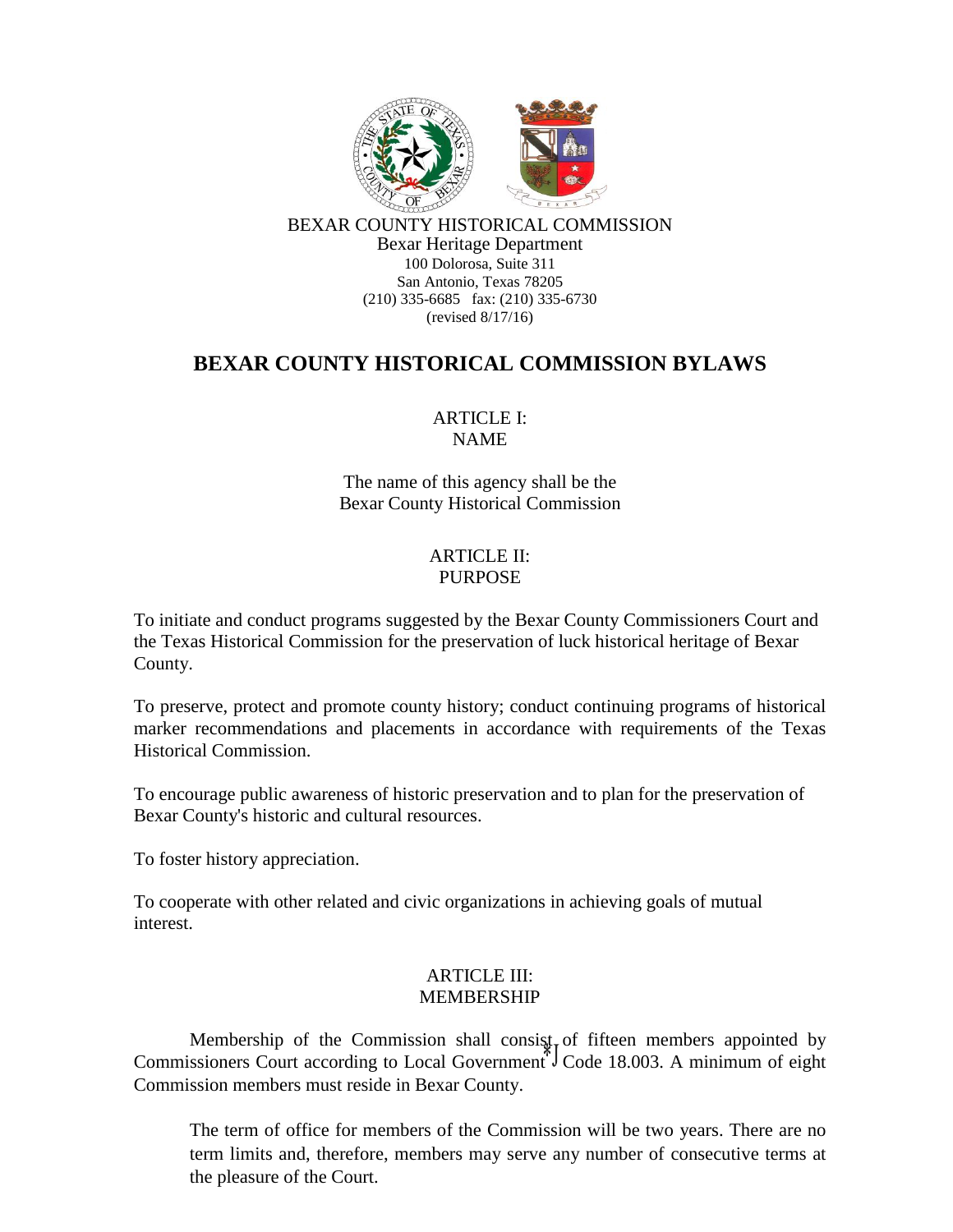

BEXAR COUNTY HISTORICAL COMMISSION Bexar Heritage Department 100 Dolorosa, Suite 311 San Antonio, Texas 78205 (210) 335-6685 fax: (210) 335-6730 (revised 8/17/16)

# **BEXAR COUNTY HISTORICAL COMMISSION BYLAWS**

# ARTICLE I: NAME

The name of this agency shall be the Bexar County Historical Commission

#### ARTICLE II: PURPOSE

To initiate and conduct programs suggested by the Bexar County Commissioners Court and the Texas Historical Commission for the preservation of luck historical heritage of Bexar County.

To preserve, protect and promote county history; conduct continuing programs of historical marker recommendations and placements in accordance with requirements of the Texas Historical Commission.

To encourage public awareness of historic preservation and to plan for the preservation of Bexar County's historic and cultural resources.

To foster history appreciation.

To cooperate with other related and civic organizations in achieving goals of mutual interest.

# ARTICLE III: MEMBERSHIP

Membership of the Commission shall consist of fifteen members appointed by Commissioners Court according to Local Government<sup> $\sqrt[4]{\ }$ </sup>Code 18.003. A minimum of eight Commission members must reside in Bexar County.

The term of office for members of the Commission will be two years. There are no term limits and, therefore, members may serve any number of consecutive terms at the pleasure of the Court.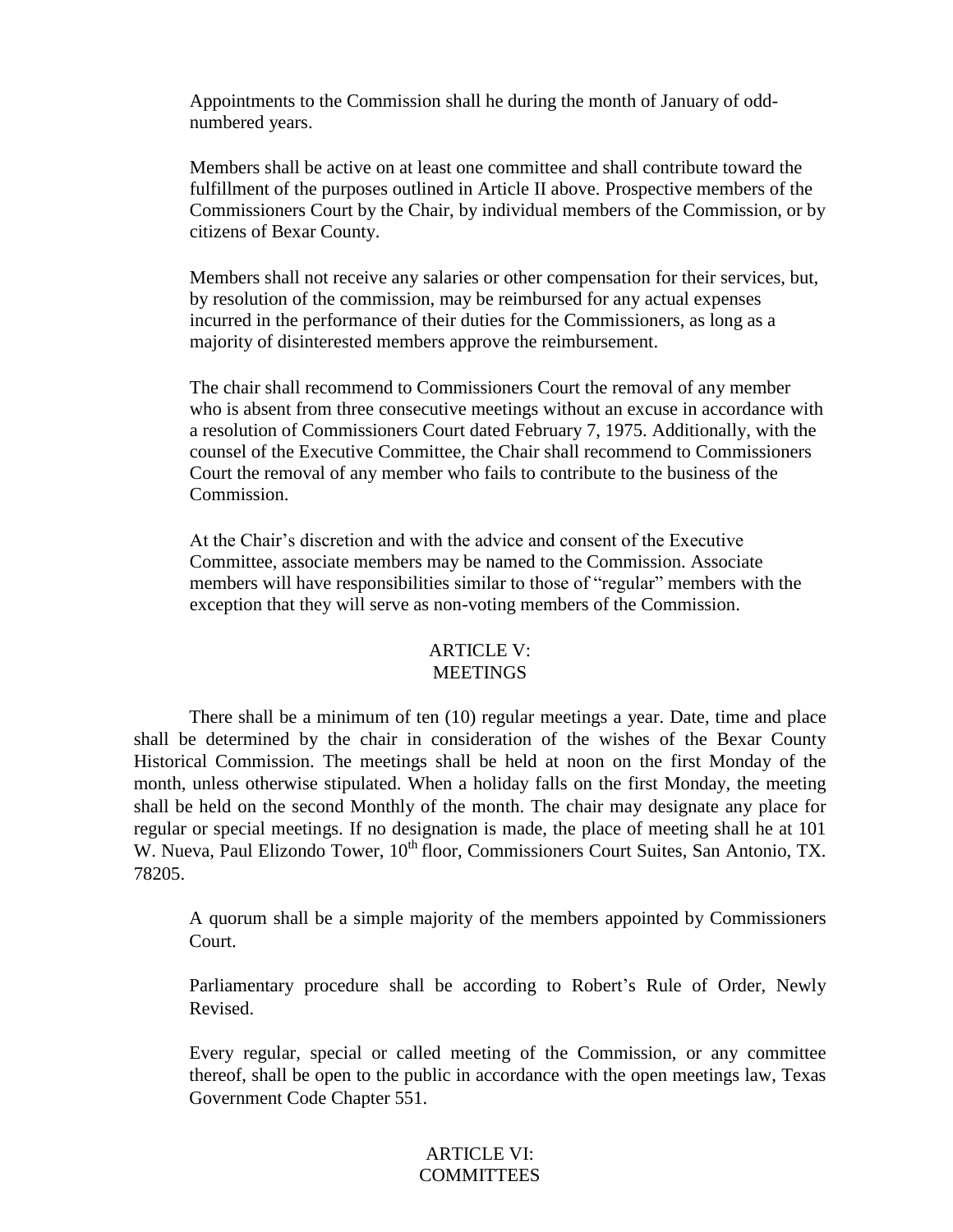Appointments to the Commission shall he during the month of January of oddnumbered years.

Members shall be active on at least one committee and shall contribute toward the fulfillment of the purposes outlined in Article II above. Prospective members of the Commissioners Court by the Chair, by individual members of the Commission, or by citizens of Bexar County.

Members shall not receive any salaries or other compensation for their services, but, by resolution of the commission, may be reimbursed for any actual expenses incurred in the performance of their duties for the Commissioners, as long as a majority of disinterested members approve the reimbursement.

The chair shall recommend to Commissioners Court the removal of any member who is absent from three consecutive meetings without an excuse in accordance with a resolution of Commissioners Court dated February 7, 1975. Additionally, with the counsel of the Executive Committee, the Chair shall recommend to Commissioners Court the removal of any member who fails to contribute to the business of the Commission.

At the Chair's discretion and with the advice and consent of the Executive Committee, associate members may be named to the Commission. Associate members will have responsibilities similar to those of "regular" members with the exception that they will serve as non-voting members of the Commission.

#### ARTICLE V: **MEETINGS**

There shall be a minimum of ten (10) regular meetings a year. Date, time and place shall be determined by the chair in consideration of the wishes of the Bexar County Historical Commission. The meetings shall be held at noon on the first Monday of the month, unless otherwise stipulated. When a holiday falls on the first Monday, the meeting shall be held on the second Monthly of the month. The chair may designate any place for regular or special meetings. If no designation is made, the place of meeting shall he at 101 W. Nueva, Paul Elizondo Tower, 10<sup>th</sup> floor, Commissioners Court Suites, San Antonio, TX. 78205.

A quorum shall be a simple majority of the members appointed by Commissioners Court.

Parliamentary procedure shall be according to Robert's Rule of Order, Newly Revised.

Every regular, special or called meeting of the Commission, or any committee thereof, shall be open to the public in accordance with the open meetings law, Texas Government Code Chapter 551.

### ARTICLE VI: **COMMITTEES**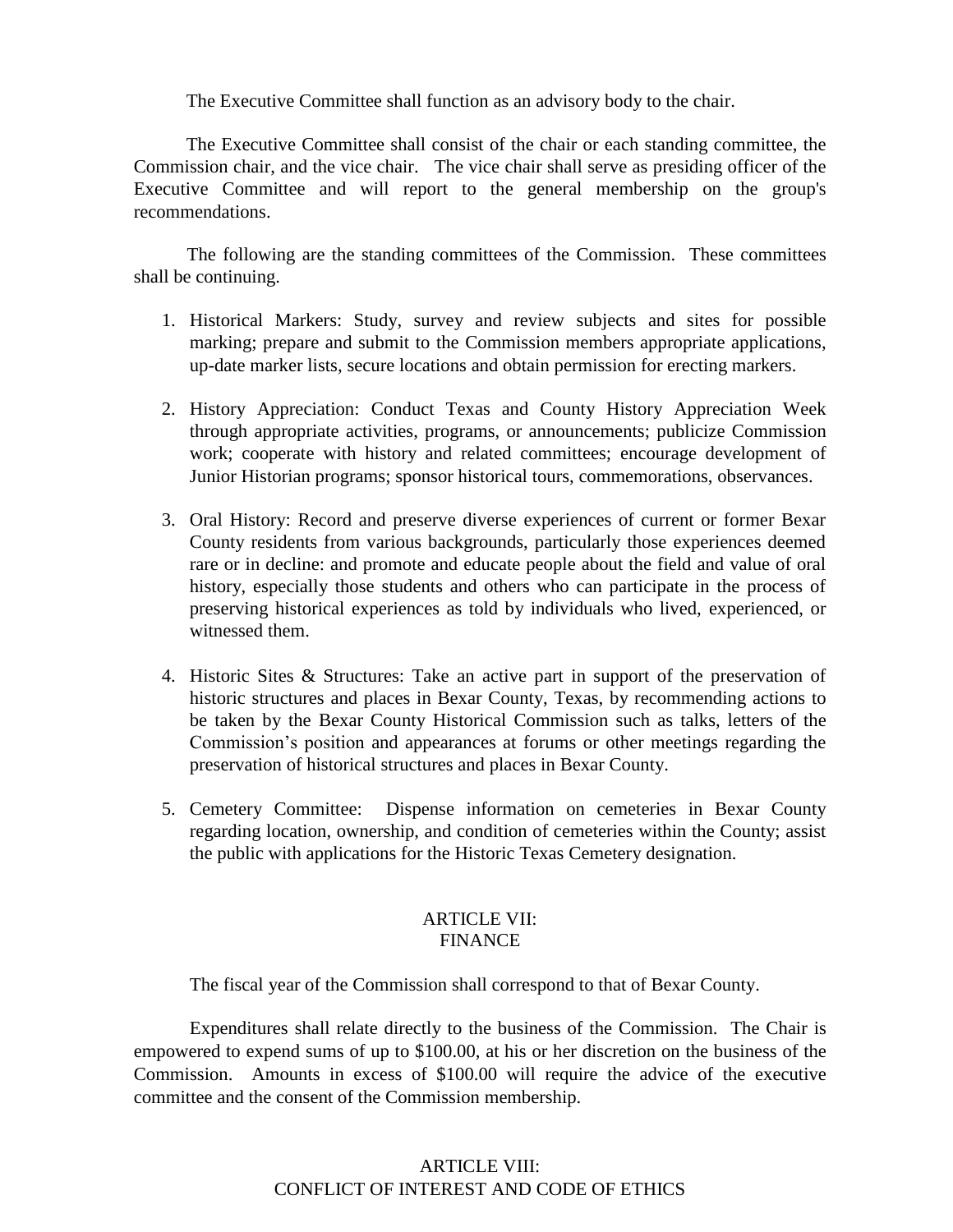The Executive Committee shall function as an advisory body to the chair.

The Executive Committee shall consist of the chair or each standing committee, the Commission chair, and the vice chair. The vice chair shall serve as presiding officer of the Executive Committee and will report to the general membership on the group's recommendations.

The following are the standing committees of the Commission. These committees shall be continuing.

- 1. Historical Markers: Study, survey and review subjects and sites for possible marking; prepare and submit to the Commission members appropriate applications, up-date marker lists, secure locations and obtain permission for erecting markers.
- 2. History Appreciation: Conduct Texas and County History Appreciation Week through appropriate activities, programs, or announcements; publicize Commission work; cooperate with history and related committees; encourage development of Junior Historian programs; sponsor historical tours, commemorations, observances.
- 3. Oral History: Record and preserve diverse experiences of current or former Bexar County residents from various backgrounds, particularly those experiences deemed rare or in decline: and promote and educate people about the field and value of oral history, especially those students and others who can participate in the process of preserving historical experiences as told by individuals who lived, experienced, or witnessed them.
- 4. Historic Sites & Structures: Take an active part in support of the preservation of historic structures and places in Bexar County, Texas, by recommending actions to be taken by the Bexar County Historical Commission such as talks, letters of the Commission's position and appearances at forums or other meetings regarding the preservation of historical structures and places in Bexar County.
- 5. Cemetery Committee: Dispense information on cemeteries in Bexar County regarding location, ownership, and condition of cemeteries within the County; assist the public with applications for the Historic Texas Cemetery designation.

#### ARTICLE VII: FINANCE

The fiscal year of the Commission shall correspond to that of Bexar County.

Expenditures shall relate directly to the business of the Commission. The Chair is empowered to expend sums of up to \$100.00, at his or her discretion on the business of the Commission. Amounts in excess of \$100.00 will require the advice of the executive committee and the consent of the Commission membership.